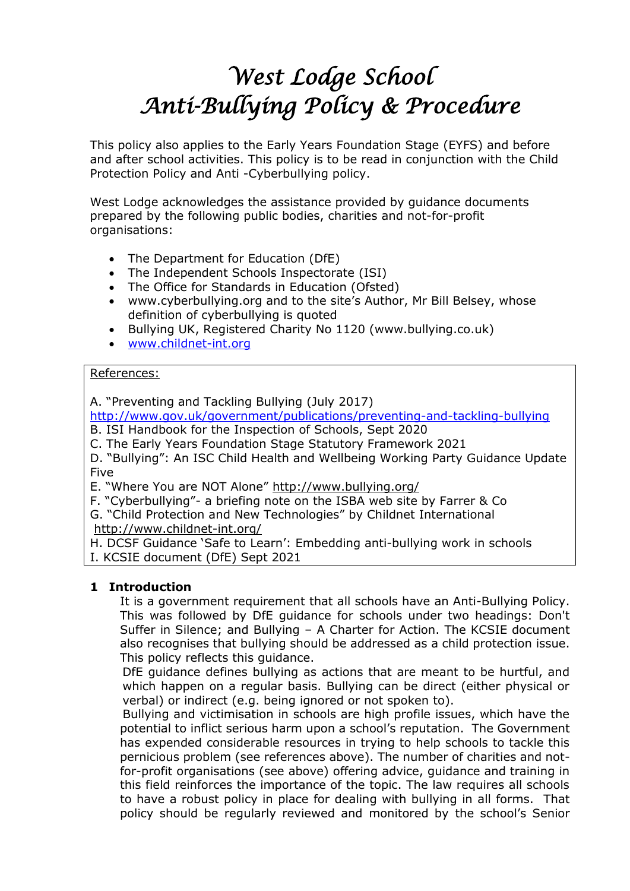# *West Lodge School Anti-Bullying Policy & Procedure*

This policy also applies to the Early Years Foundation Stage (EYFS) and before and after school activities. This policy is to be read in conjunction with the Child Protection Policy and Anti -Cyberbullying policy.

West Lodge acknowledges the assistance provided by guidance documents prepared by the following public bodies, charities and not-for-profit organisations:

- The Department for Education (DfE)
- The Independent Schools Inspectorate (ISI)
- The Office for Standards in Education (Ofsted)
- www.cyberbullying.org and to the site's Author, Mr Bill Belsey, whose definition of cyberbullying is quoted
- Bullying UK, Registered Charity No 1120 (www.bullying.co.uk)
- [www.childnet-int.org](http://www.childnet-int.org/)

## References:

A. "Preventing and Tackling Bullying (July 2017)

<http://www.gov.uk/government/publications/preventing-and-tackling-bullying>

B. ISI Handbook for the Inspection of Schools, Sept 2020

C. The Early Years Foundation Stage Statutory Framework 2021

D. "Bullying": An ISC Child Health and Wellbeing Working Party Guidance Update Five

E. "Where You are NOT Alone" <http://www.bullying.org/>

F. "Cyberbullying"- a briefing note on the ISBA web site by Farrer & Co

G. "Child Protection and New Technologies" by Childnet International <http://www.childnet-int.org/>

H. DCSF Guidance 'Safe to Learn': Embedding anti-bullying work in schools I. KCSIE document (DfE) Sept 2021

# **1 Introduction**

It is a government requirement that all schools have an Anti-Bullying Policy. This was followed by DfE guidance for schools under two headings: Don't Suffer in Silence; and Bullying – A Charter for Action. The KCSIE document also recognises that bullying should be addressed as a child protection issue. This policy reflects this guidance.

DfE guidance defines bullying as actions that are meant to be hurtful, and which happen on a regular basis. Bullying can be direct (either physical or verbal) or indirect (e.g. being ignored or not spoken to).

 Bullying and victimisation in schools are high profile issues, which have the potential to inflict serious harm upon a school's reputation. The Government has expended considerable resources in trying to help schools to tackle this pernicious problem (see references above). The number of charities and notfor-profit organisations (see above) offering advice, guidance and training in this field reinforces the importance of the topic. The law requires all schools to have a robust policy in place for dealing with bullying in all forms. That policy should be regularly reviewed and monitored by the school's Senior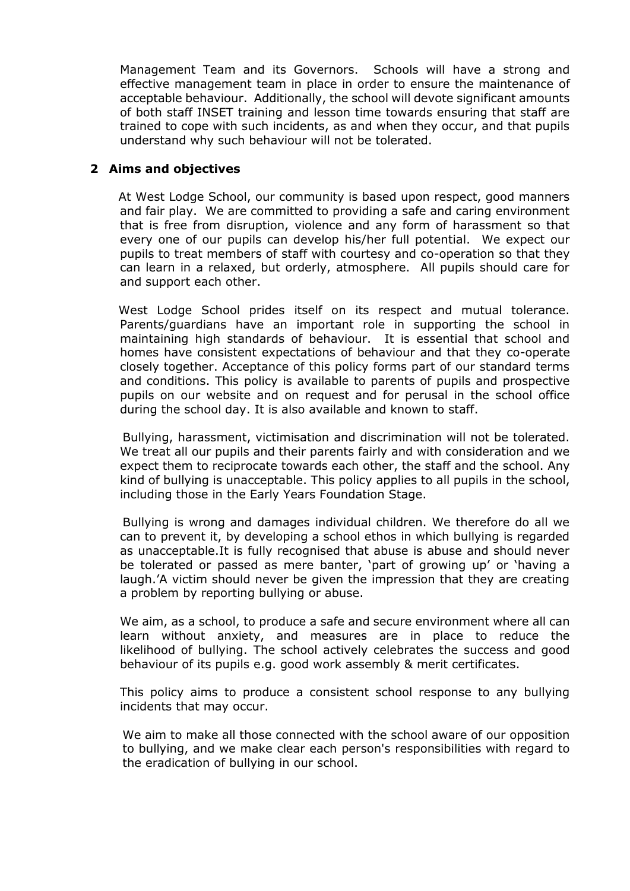Management Team and its Governors. Schools will have a strong and effective management team in place in order to ensure the maintenance of acceptable behaviour. Additionally, the school will devote significant amounts of both staff INSET training and lesson time towards ensuring that staff are trained to cope with such incidents, as and when they occur, and that pupils understand why such behaviour will not be tolerated.

### **2 Aims and objectives**

 At West Lodge School, our community is based upon respect, good manners and fair play. We are committed to providing a safe and caring environment that is free from disruption, violence and any form of harassment so that every one of our pupils can develop his/her full potential. We expect our pupils to treat members of staff with courtesy and co-operation so that they can learn in a relaxed, but orderly, atmosphere. All pupils should care for and support each other.

 West Lodge School prides itself on its respect and mutual tolerance. Parents/guardians have an important role in supporting the school in maintaining high standards of behaviour. It is essential that school and homes have consistent expectations of behaviour and that they co-operate closely together. Acceptance of this policy forms part of our standard terms and conditions. This policy is available to parents of pupils and prospective pupils on our website and on request and for perusal in the school office during the school day. It is also available and known to staff.

 Bullying, harassment, victimisation and discrimination will not be tolerated. We treat all our pupils and their parents fairly and with consideration and we expect them to reciprocate towards each other, the staff and the school. Any kind of bullying is unacceptable. This policy applies to all pupils in the school, including those in the Early Years Foundation Stage.

 Bullying is wrong and damages individual children. We therefore do all we can to prevent it, by developing a school ethos in which bullying is regarded as unacceptable.It is fully recognised that abuse is abuse and should never be tolerated or passed as mere banter, 'part of growing up' or 'having a laugh.'A victim should never be given the impression that they are creating a problem by reporting bullying or abuse.

We aim, as a school, to produce a safe and secure environment where all can learn without anxiety, and measures are in place to reduce the likelihood of bullying. The school actively celebrates the success and good behaviour of its pupils e.g. good work assembly & merit certificates.

This policy aims to produce a consistent school response to any bullying incidents that may occur.

We aim to make all those connected with the school aware of our opposition to bullying, and we make clear each person's responsibilities with regard to the eradication of bullying in our school.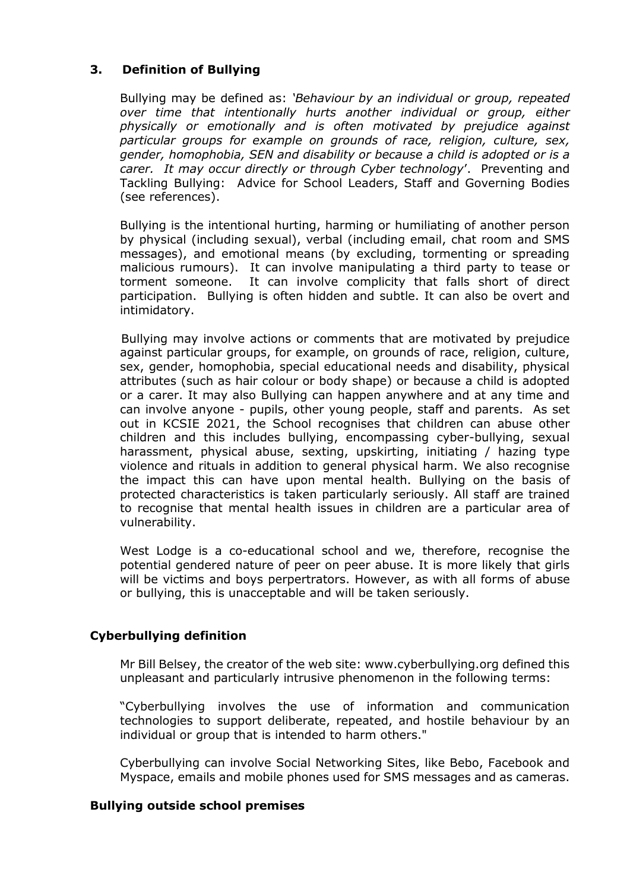# **3. Definition of Bullying**

Bullying may be defined as: *'Behaviour by an individual or group, repeated over time that intentionally hurts another individual or group, either physically or emotionally and is often motivated by prejudice against particular groups for example on grounds of race, religion, culture, sex, gender, homophobia, SEN and disability or because a child is adopted or is a carer. It may occur directly or through Cyber technology*'. Preventing and Tackling Bullying: Advice for School Leaders, Staff and Governing Bodies (see references).

Bullying is the intentional hurting, harming or humiliating of another person by physical (including sexual), verbal (including email, chat room and SMS messages), and emotional means (by excluding, tormenting or spreading malicious rumours). It can involve manipulating a third party to tease or torment someone. It can involve complicity that falls short of direct participation. Bullying is often hidden and subtle. It can also be overt and intimidatory.

 Bullying may involve actions or comments that are motivated by prejudice against particular groups, for example, on grounds of race, religion, culture, sex, gender, homophobia, special educational needs and disability, physical attributes (such as hair colour or body shape) or because a child is adopted or a carer. It may also Bullying can happen anywhere and at any time and can involve anyone - pupils, other young people, staff and parents. As set out in KCSIE 2021, the School recognises that children can abuse other children and this includes bullying, encompassing cyber-bullying, sexual harassment, physical abuse, sexting, upskirting, initiating / hazing type violence and rituals in addition to general physical harm. We also recognise the impact this can have upon mental health. Bullying on the basis of protected characteristics is taken particularly seriously. All staff are trained to recognise that mental health issues in children are a particular area of vulnerability.

West Lodge is a co-educational school and we, therefore, recognise the potential gendered nature of peer on peer abuse. It is more likely that girls will be victims and boys perpertrators. However, as with all forms of abuse or bullying, this is unacceptable and will be taken seriously.

# **Cyberbullying definition**

Mr Bill Belsey, the creator of the web site: www.cyberbullying.org defined this unpleasant and particularly intrusive phenomenon in the following terms:

"Cyberbullying involves the use of information and communication technologies to support deliberate, repeated, and hostile behaviour by an individual or group that is intended to harm others."

Cyberbullying can involve Social Networking Sites, like Bebo, Facebook and Myspace, emails and mobile phones used for SMS messages and as cameras.

#### **Bullying outside school premises**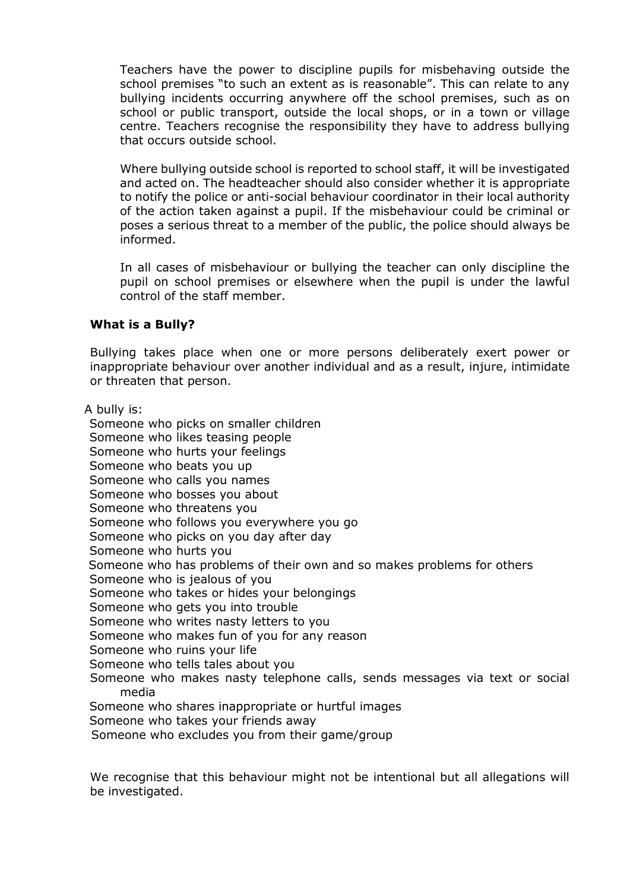Teachers have the power to discipline pupils for misbehaving outside the school premises "to such an extent as is reasonable". This can relate to any bullying incidents occurring anywhere off the school premises, such as on school or public transport, outside the local shops, or in a town or village centre. Teachers recognise the responsibility they have to address bullying that occurs outside school.

Where bullying outside school is reported to school staff, it will be investigated and acted on. The headteacher should also consider whether it is appropriate to notify the police or anti-social behaviour coordinator in their local authority of the action taken against a pupil. If the misbehaviour could be criminal or poses a serious threat to a member of the public, the police should always be informed.

In all cases of misbehaviour or bullying the teacher can only discipline the pupil on school premises or elsewhere when the pupil is under the lawful control of the staff member.

## **What is a Bully?**

Bullying takes place when one or more persons deliberately exert power or inappropriate behaviour over another individual and as a result, injure, intimidate or threaten that person.

A bully is:

Someone who picks on smaller children Someone who likes teasing people Someone who hurts your feelings Someone who beats you up Someone who calls you names Someone who bosses you about Someone who threatens you Someone who follows you everywhere you go Someone who picks on you day after day Someone who hurts you Someone who has problems of their own and so makes problems for others Someone who is jealous of you Someone who takes or hides your belongings Someone who gets you into trouble Someone who writes nasty letters to you Someone who makes fun of you for any reason Someone who ruins your life Someone who tells tales about you Someone who makes nasty telephone calls, sends messages via text or social media Someone who shares inappropriate or hurtful images Someone who takes your friends away Someone who excludes you from their game/group

We recognise that this behaviour might not be intentional but all allegations will be investigated.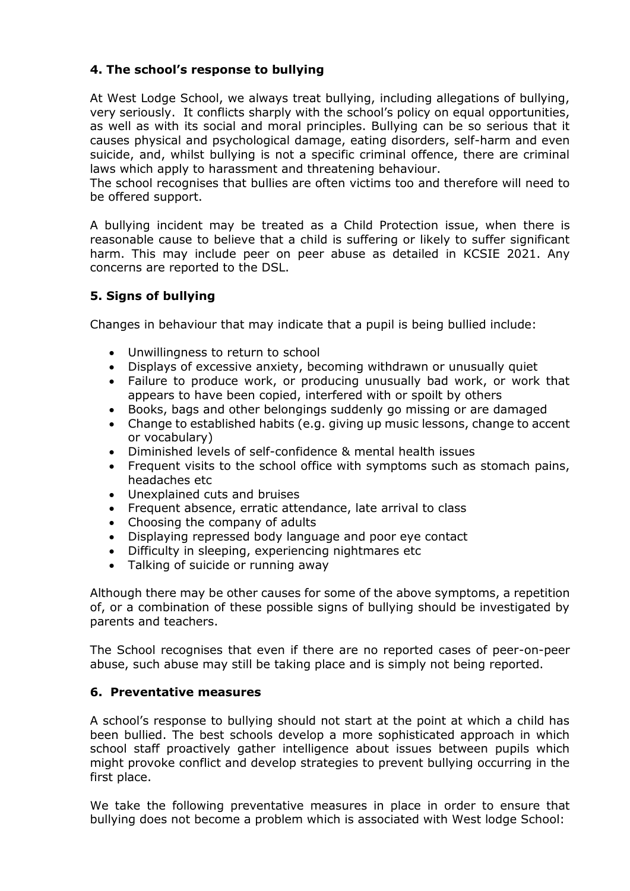# **4. The school's response to bullying**

At West Lodge School, we always treat bullying, including allegations of bullying, very seriously. It conflicts sharply with the school's policy on equal opportunities, as well as with its social and moral principles. Bullying can be so serious that it causes physical and psychological damage, eating disorders, self-harm and even suicide, and, whilst bullying is not a specific criminal offence, there are criminal laws which apply to harassment and threatening behaviour.

The school recognises that bullies are often victims too and therefore will need to be offered support.

A bullying incident may be treated as a Child Protection issue, when there is reasonable cause to believe that a child is suffering or likely to suffer significant harm. This may include peer on peer abuse as detailed in KCSIE 2021. Any concerns are reported to the DSL.

# **5. Signs of bullying**

Changes in behaviour that may indicate that a pupil is being bullied include:

- Unwillingness to return to school
- Displays of excessive anxiety, becoming withdrawn or unusually quiet
- Failure to produce work, or producing unusually bad work, or work that appears to have been copied, interfered with or spoilt by others
- Books, bags and other belongings suddenly go missing or are damaged
- Change to established habits (e.g. giving up music lessons, change to accent or vocabulary)
- Diminished levels of self-confidence & mental health issues
- Frequent visits to the school office with symptoms such as stomach pains, headaches etc
- Unexplained cuts and bruises
- Frequent absence, erratic attendance, late arrival to class
- Choosing the company of adults
- Displaying repressed body language and poor eye contact
- Difficulty in sleeping, experiencing nightmares etc
- Talking of suicide or running away

Although there may be other causes for some of the above symptoms, a repetition of, or a combination of these possible signs of bullying should be investigated by parents and teachers.

The School recognises that even if there are no reported cases of peer-on-peer abuse, such abuse may still be taking place and is simply not being reported.

#### **6. Preventative measures**

A school's response to bullying should not start at the point at which a child has been bullied. The best schools develop a more sophisticated approach in which school staff proactively gather intelligence about issues between pupils which might provoke conflict and develop strategies to prevent bullying occurring in the first place.

We take the following preventative measures in place in order to ensure that bullying does not become a problem which is associated with West lodge School: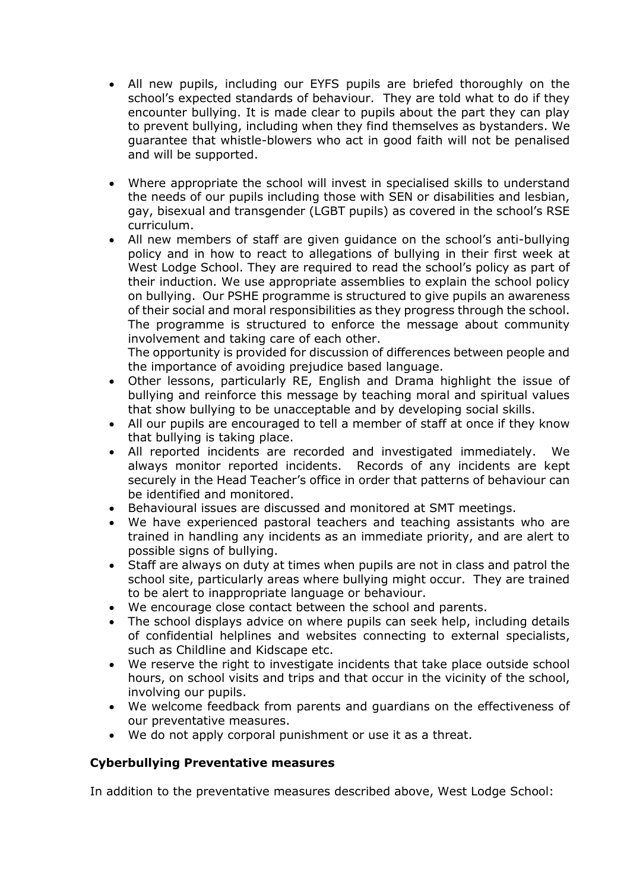- All new pupils, including our EYFS pupils are briefed thoroughly on the school's expected standards of behaviour. They are told what to do if they encounter bullying. It is made clear to pupils about the part they can play to prevent bullying, including when they find themselves as bystanders. We guarantee that whistle-blowers who act in good faith will not be penalised and will be supported.
- Where appropriate the school will invest in specialised skills to understand the needs of our pupils including those with SEN or disabilities and lesbian, gay, bisexual and transgender (LGBT pupils) as covered in the school's RSE curriculum.
- All new members of staff are given guidance on the school's anti-bullying policy and in how to react to allegations of bullying in their first week at West Lodge School. They are required to read the school's policy as part of their induction. We use appropriate assemblies to explain the school policy on bullying. Our PSHE programme is structured to give pupils an awareness of their social and moral responsibilities as they progress through the school. The programme is structured to enforce the message about community involvement and taking care of each other.

The opportunity is provided for discussion of differences between people and the importance of avoiding prejudice based language.

- Other lessons, particularly RE, English and Drama highlight the issue of bullying and reinforce this message by teaching moral and spiritual values that show bullying to be unacceptable and by developing social skills.
- All our pupils are encouraged to tell a member of staff at once if they know that bullying is taking place.
- All reported incidents are recorded and investigated immediately. We always monitor reported incidents. Records of any incidents are kept securely in the Head Teacher's office in order that patterns of behaviour can be identified and monitored.
- Behavioural issues are discussed and monitored at SMT meetings.
- We have experienced pastoral teachers and teaching assistants who are trained in handling any incidents as an immediate priority, and are alert to possible signs of bullying.
- Staff are always on duty at times when pupils are not in class and patrol the school site, particularly areas where bullying might occur. They are trained to be alert to inappropriate language or behaviour.
- We encourage close contact between the school and parents.
- The school displays advice on where pupils can seek help, including details of confidential helplines and websites connecting to external specialists, such as Childline and Kidscape etc.
- We reserve the right to investigate incidents that take place outside school hours, on school visits and trips and that occur in the vicinity of the school, involving our pupils.
- We welcome feedback from parents and guardians on the effectiveness of our preventative measures.
- We do not apply corporal punishment or use it as a threat.

# **Cyberbullying Preventative measures**

In addition to the preventative measures described above, West Lodge School: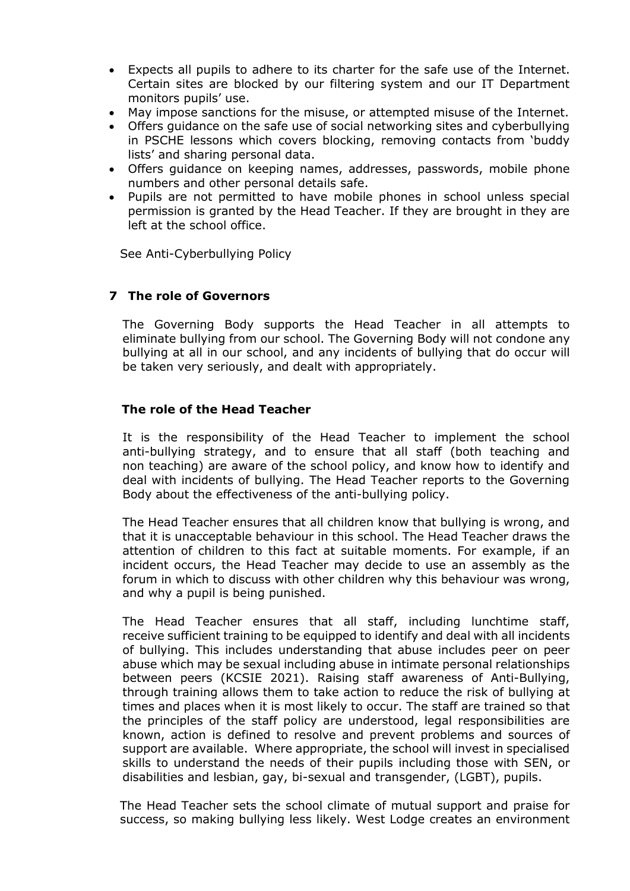- Expects all pupils to adhere to its charter for the safe use of the Internet. Certain sites are blocked by our filtering system and our IT Department monitors pupils' use.
- May impose sanctions for the misuse, or attempted misuse of the Internet.
- Offers guidance on the safe use of social networking sites and cyberbullying in PSCHE lessons which covers blocking, removing contacts from 'buddy lists' and sharing personal data.
- Offers guidance on keeping names, addresses, passwords, mobile phone numbers and other personal details safe.
- Pupils are not permitted to have mobile phones in school unless special permission is granted by the Head Teacher. If they are brought in they are left at the school office.

See Anti-Cyberbullying Policy

## **7 The role of Governors**

The Governing Body supports the Head Teacher in all attempts to eliminate bullying from our school. The Governing Body will not condone any bullying at all in our school, and any incidents of bullying that do occur will be taken very seriously, and dealt with appropriately.

#### **The role of the Head Teacher**

It is the responsibility of the Head Teacher to implement the school anti-bullying strategy, and to ensure that all staff (both teaching and non teaching) are aware of the school policy, and know how to identify and deal with incidents of bullying. The Head Teacher reports to the Governing Body about the effectiveness of the anti-bullying policy.

The Head Teacher ensures that all children know that bullying is wrong, and that it is unacceptable behaviour in this school. The Head Teacher draws the attention of children to this fact at suitable moments. For example, if an incident occurs, the Head Teacher may decide to use an assembly as the forum in which to discuss with other children why this behaviour was wrong, and why a pupil is being punished.

The Head Teacher ensures that all staff, including lunchtime staff, receive sufficient training to be equipped to identify and deal with all incidents of bullying. This includes understanding that abuse includes peer on peer abuse which may be sexual including abuse in intimate personal relationships between peers (KCSIE 2021). Raising staff awareness of Anti-Bullying, through training allows them to take action to reduce the risk of bullying at times and places when it is most likely to occur. The staff are trained so that the principles of the staff policy are understood, legal responsibilities are known, action is defined to resolve and prevent problems and sources of support are available. Where appropriate, the school will invest in specialised skills to understand the needs of their pupils including those with SEN, or disabilities and lesbian, gay, bi-sexual and transgender, (LGBT), pupils.

The Head Teacher sets the school climate of mutual support and praise for success, so making bullying less likely. West Lodge creates an environment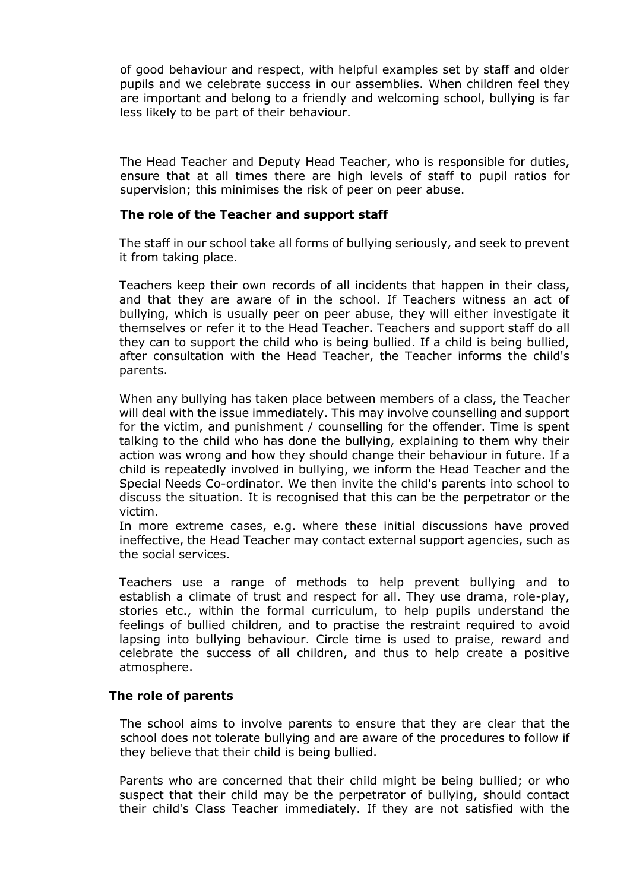of good behaviour and respect, with helpful examples set by staff and older pupils and we celebrate success in our assemblies. When children feel they are important and belong to a friendly and welcoming school, bullying is far less likely to be part of their behaviour.

The Head Teacher and Deputy Head Teacher, who is responsible for duties, ensure that at all times there are high levels of staff to pupil ratios for supervision; this minimises the risk of peer on peer abuse.

### **The role of the Teacher and support staff**

The staff in our school take all forms of bullying seriously, and seek to prevent it from taking place.

Teachers keep their own records of all incidents that happen in their class, and that they are aware of in the school. If Teachers witness an act of bullying, which is usually peer on peer abuse, they will either investigate it themselves or refer it to the Head Teacher. Teachers and support staff do all they can to support the child who is being bullied. If a child is being bullied, after consultation with the Head Teacher, the Teacher informs the child's parents.

When any bullying has taken place between members of a class, the Teacher will deal with the issue immediately. This may involve counselling and support for the victim, and punishment / counselling for the offender. Time is spent talking to the child who has done the bullying, explaining to them why their action was wrong and how they should change their behaviour in future. If a child is repeatedly involved in bullying, we inform the Head Teacher and the Special Needs Co-ordinator. We then invite the child's parents into school to discuss the situation. It is recognised that this can be the perpetrator or the victim.

In more extreme cases, e.g. where these initial discussions have proved ineffective, the Head Teacher may contact external support agencies, such as the social services.

Teachers use a range of methods to help prevent bullying and to establish a climate of trust and respect for all. They use drama, role-play, stories etc., within the formal curriculum, to help pupils understand the feelings of bullied children, and to practise the restraint required to avoid lapsing into bullying behaviour. Circle time is used to praise, reward and celebrate the success of all children, and thus to help create a positive atmosphere.

#### **The role of parents**

The school aims to involve parents to ensure that they are clear that the school does not tolerate bullying and are aware of the procedures to follow if they believe that their child is being bullied.

Parents who are concerned that their child might be being bullied; or who suspect that their child may be the perpetrator of bullying, should contact their child's Class Teacher immediately. If they are not satisfied with the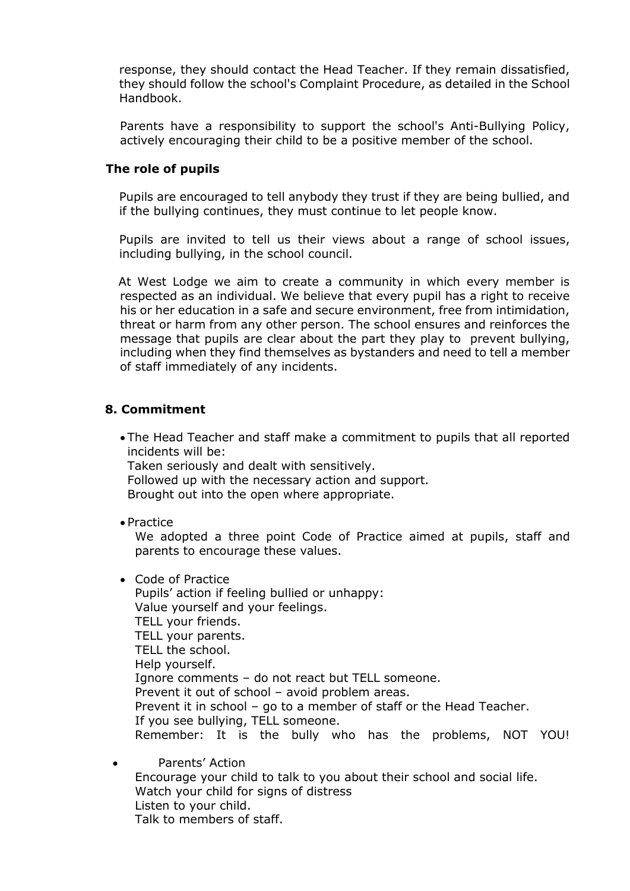response, they should contact the Head Teacher. If they remain dissatisfied, they should follow the school's Complaint Procedure, as detailed in the School Handbook.

Parents have a responsibility to support the school's Anti-Bullying Policy, actively encouraging their child to be a positive member of the school.

#### **The role of pupils**

Pupils are encouraged to tell anybody they trust if they are being bullied, and if the bullying continues, they must continue to let people know.

Pupils are invited to tell us their views about a range of school issues, including bullying, in the school council.

 At West Lodge we aim to create a community in which every member is respected as an individual. We believe that every pupil has a right to receive his or her education in a safe and secure environment, free from intimidation, threat or harm from any other person. The school ensures and reinforces the message that pupils are clear about the part they play to prevent bullying, including when they find themselves as bystanders and need to tell a member of staff immediately of any incidents.

## **8. Commitment**

 The Head Teacher and staff make a commitment to pupils that all reported incidents will be:

Taken seriously and dealt with sensitively. Followed up with the necessary action and support. Brought out into the open where appropriate.

• Practice

We adopted a three point Code of Practice aimed at pupils, staff and parents to encourage these values.

Code of Practice

Pupils' action if feeling bullied or unhappy: Value yourself and your feelings. TELL your friends. TELL your parents. TELL the school. Help yourself. Ignore comments – do not react but TELL someone. Prevent it out of school – avoid problem areas. Prevent it in school – go to a member of staff or the Head Teacher. If you see bullying, TELL someone. Remember: It is the bully who has the problems, NOT YOU!

 Parents' Action Encourage your child to talk to you about their school and social life. Watch your child for signs of distress Listen to your child. Talk to members of staff.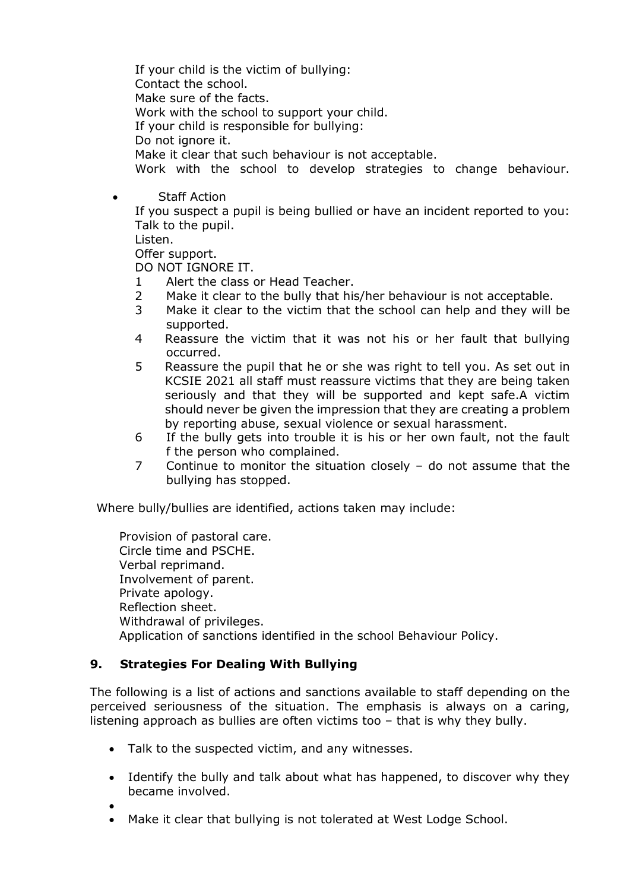If your child is the victim of bullying: Contact the school. Make sure of the facts. Work with the school to support your child. If your child is responsible for bullying: Do not ignore it. Make it clear that such behaviour is not acceptable. Work with the school to develop strategies to change behaviour.

• Staff Action

If you suspect a pupil is being bullied or have an incident reported to you: Talk to the pupil.

Listen.

Offer support.

DO NOT IGNORE IT.

- 1 Alert the class or Head Teacher.
- 2 Make it clear to the bully that his/her behaviour is not acceptable.
- 3 Make it clear to the victim that the school can help and they will be supported.
- 4 Reassure the victim that it was not his or her fault that bullying occurred.
- 5 Reassure the pupil that he or she was right to tell you. As set out in KCSIE 2021 all staff must reassure victims that they are being taken seriously and that they will be supported and kept safe.A victim should never be given the impression that they are creating a problem by reporting abuse, sexual violence or sexual harassment.
- 6 If the bully gets into trouble it is his or her own fault, not the fault f the person who complained.
- 7 Continue to monitor the situation closely do not assume that the bullying has stopped.

Where bully/bullies are identified, actions taken may include:

Provision of pastoral care. Circle time and PSCHE. Verbal reprimand. Involvement of parent. Private apology. Reflection sheet. Withdrawal of privileges. Application of sanctions identified in the school Behaviour Policy.

# **9. Strategies For Dealing With Bullying**

The following is a list of actions and sanctions available to staff depending on the perceived seriousness of the situation. The emphasis is always on a caring, listening approach as bullies are often victims too – that is why they bully.

- Talk to the suspected victim, and any witnesses.
- Identify the bully and talk about what has happened, to discover why they became involved.

 $\bullet$ 

Make it clear that bullying is not tolerated at West Lodge School.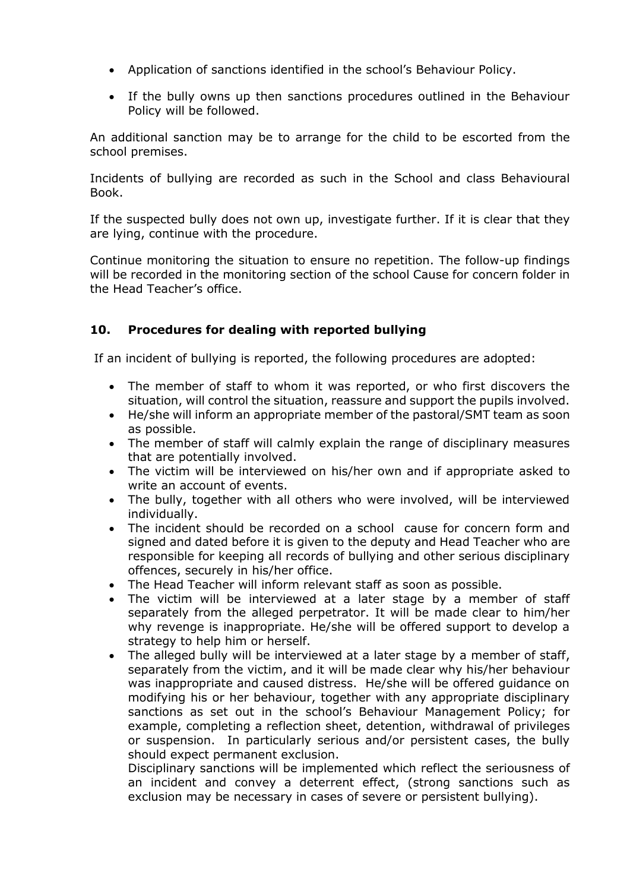- Application of sanctions identified in the school's Behaviour Policy.
- If the bully owns up then sanctions procedures outlined in the Behaviour Policy will be followed.

An additional sanction may be to arrange for the child to be escorted from the school premises.

Incidents of bullying are recorded as such in the School and class Behavioural Book.

If the suspected bully does not own up, investigate further. If it is clear that they are lying, continue with the procedure.

Continue monitoring the situation to ensure no repetition. The follow-up findings will be recorded in the monitoring section of the school Cause for concern folder in the Head Teacher's office.

# **10. Procedures for dealing with reported bullying**

If an incident of bullying is reported, the following procedures are adopted:

- The member of staff to whom it was reported, or who first discovers the situation, will control the situation, reassure and support the pupils involved.
- He/she will inform an appropriate member of the pastoral/SMT team as soon as possible.
- The member of staff will calmly explain the range of disciplinary measures that are potentially involved.
- The victim will be interviewed on his/her own and if appropriate asked to write an account of events.
- The bully, together with all others who were involved, will be interviewed individually.
- The incident should be recorded on a school cause for concern form and signed and dated before it is given to the deputy and Head Teacher who are responsible for keeping all records of bullying and other serious disciplinary offences, securely in his/her office.
- The Head Teacher will inform relevant staff as soon as possible.
- The victim will be interviewed at a later stage by a member of staff separately from the alleged perpetrator. It will be made clear to him/her why revenge is inappropriate. He/she will be offered support to develop a strategy to help him or herself.
- The alleged bully will be interviewed at a later stage by a member of staff, separately from the victim, and it will be made clear why his/her behaviour was inappropriate and caused distress. He/she will be offered guidance on modifying his or her behaviour, together with any appropriate disciplinary sanctions as set out in the school's Behaviour Management Policy; for example, completing a reflection sheet, detention, withdrawal of privileges or suspension. In particularly serious and/or persistent cases, the bully should expect permanent exclusion.

Disciplinary sanctions will be implemented which reflect the seriousness of an incident and convey a deterrent effect, (strong sanctions such as exclusion may be necessary in cases of severe or persistent bullying).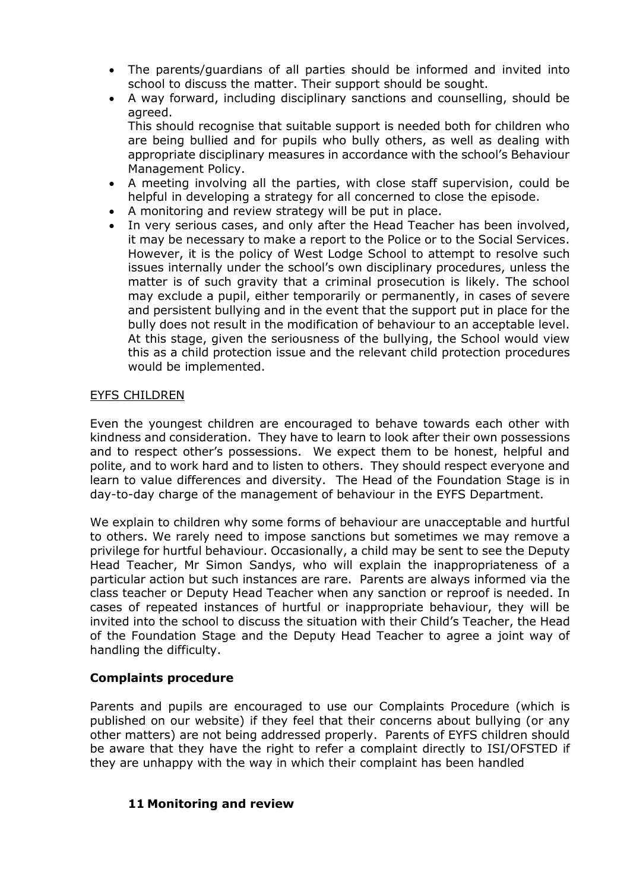- The parents/guardians of all parties should be informed and invited into school to discuss the matter. Their support should be sought.
- A way forward, including disciplinary sanctions and counselling, should be agreed.

This should recognise that suitable support is needed both for children who are being bullied and for pupils who bully others, as well as dealing with appropriate disciplinary measures in accordance with the school's Behaviour Management Policy.

- A meeting involving all the parties, with close staff supervision, could be helpful in developing a strategy for all concerned to close the episode.
- A monitoring and review strategy will be put in place.
- In very serious cases, and only after the Head Teacher has been involved, it may be necessary to make a report to the Police or to the Social Services. However, it is the policy of West Lodge School to attempt to resolve such issues internally under the school's own disciplinary procedures, unless the matter is of such gravity that a criminal prosecution is likely. The school may exclude a pupil, either temporarily or permanently, in cases of severe and persistent bullying and in the event that the support put in place for the bully does not result in the modification of behaviour to an acceptable level. At this stage, given the seriousness of the bullying, the School would view this as a child protection issue and the relevant child protection procedures would be implemented.

## EYFS CHILDREN

Even the youngest children are encouraged to behave towards each other with kindness and consideration. They have to learn to look after their own possessions and to respect other's possessions. We expect them to be honest, helpful and polite, and to work hard and to listen to others. They should respect everyone and learn to value differences and diversity. The Head of the Foundation Stage is in day-to-day charge of the management of behaviour in the EYFS Department.

We explain to children why some forms of behaviour are unacceptable and hurtful to others. We rarely need to impose sanctions but sometimes we may remove a privilege for hurtful behaviour. Occasionally, a child may be sent to see the Deputy Head Teacher, Mr Simon Sandys, who will explain the inappropriateness of a particular action but such instances are rare. Parents are always informed via the class teacher or Deputy Head Teacher when any sanction or reproof is needed. In cases of repeated instances of hurtful or inappropriate behaviour, they will be invited into the school to discuss the situation with their Child's Teacher, the Head of the Foundation Stage and the Deputy Head Teacher to agree a joint way of handling the difficulty.

# **Complaints procedure**

Parents and pupils are encouraged to use our Complaints Procedure (which is published on our website) if they feel that their concerns about bullying (or any other matters) are not being addressed properly. Parents of EYFS children should be aware that they have the right to refer a complaint directly to ISI/OFSTED if they are unhappy with the way in which their complaint has been handled

#### **11 Monitoring and review**